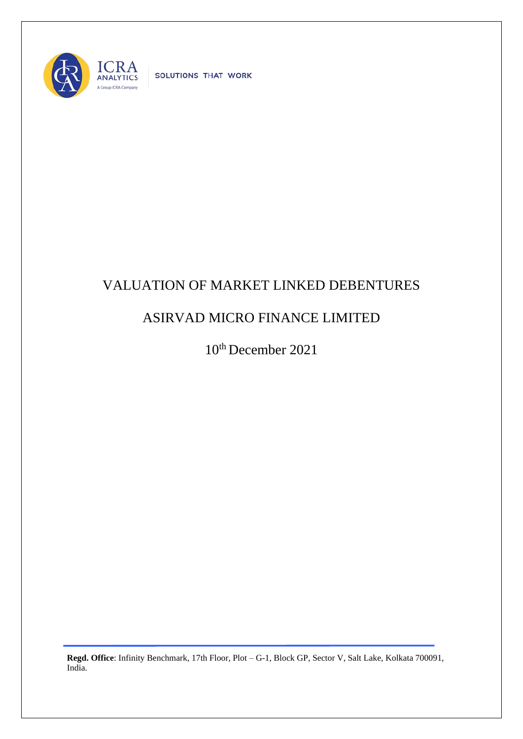

SOLUTIONS THAT WORK

## VALUATION OF MARKET LINKED DEBENTURES

## ASIRVAD MICRO FINANCE LIMITED

10th December 2021

**Regd. Office**: Infinity Benchmark, 17th Floor, Plot – G-1, Block GP, Sector V, Salt Lake, Kolkata 700091, India.